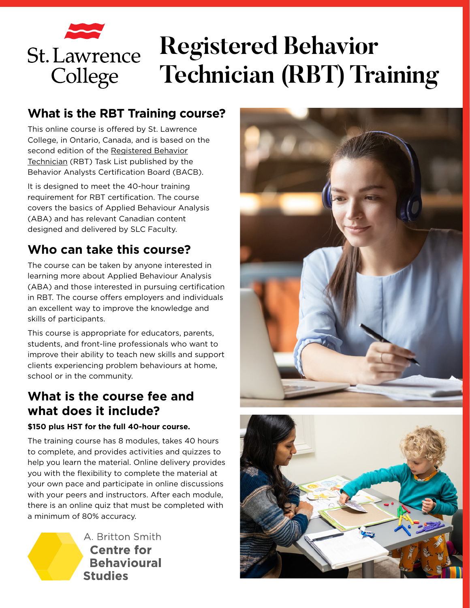# **Registered Behavior St. Lawrence Technician (RBT) Training**College

#### **What is the RBT Training course?**

This online course is offered by St. Lawrence College, in Ontario, Canada, and is based on the second edition of the [Registered Behavior](https://www.bacb.com/rbt/) [Technician](https://www.bacb.com/rbt/) (RBT) Task List published by the Behavior Analysts Certification Board (BACB).

It is designed to meet the 40-hour training requirement for RBT certification. The course covers the basics of Applied Behaviour Analysis (ABA) and has relevant Canadian content designed and delivered by SLC Faculty.

# **Who can take this course?**

The course can be taken by anyone interested in learning more about Applied Behaviour Analysis (ABA) and those interested in pursuing certification in RBT. The course offers employers and individuals an excellent way to improve the knowledge and skills of participants.

This course is appropriate for educators, parents, students, and front-line professionals who want to improve their ability to teach new skills and support clients experiencing problem behaviours at home, school or in the community.

#### **What is the course fee and what does it include?**

#### **\$150 plus HST for the full 40-hour course.**

The training course has 8 modules, takes 40 hours to complete, and provides activities and quizzes to help you learn the material. Online delivery provides you with the flexibility to complete the material at your own pace and participate in online discussions with your peers and instructors. After each module, there is an online quiz that must be completed with a minimum of 80% accuracy.

> A. Britton Smith **Centre for Behavioural Studies**